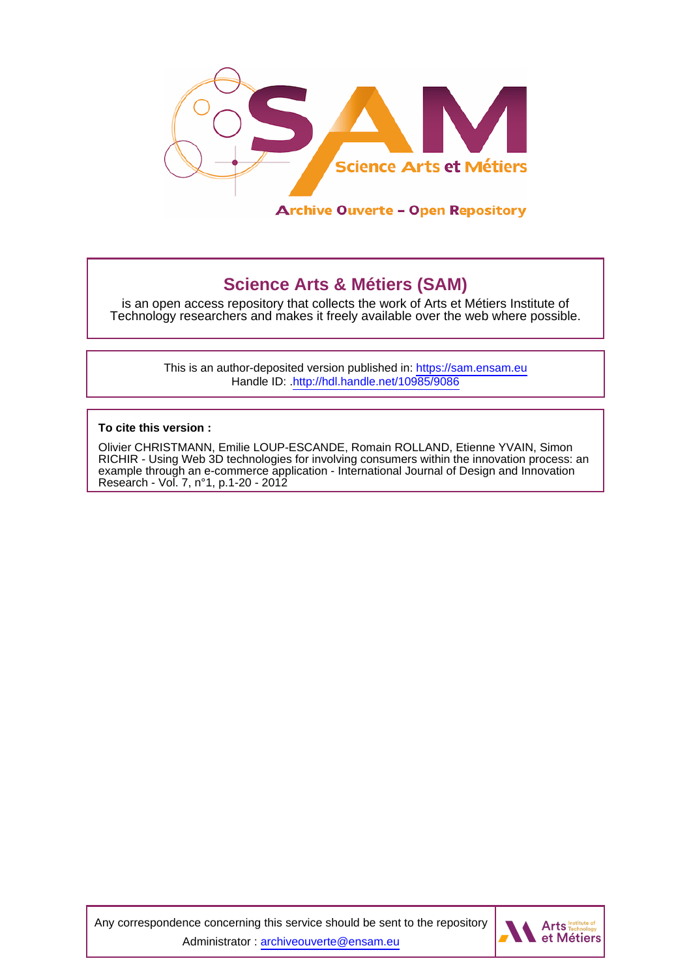

# **Science Arts & Métiers (SAM)**

is an open access repository that collects the work of Arts et Métiers Institute of Technology researchers and makes it freely available over the web where possible.

> This is an author-deposited version published in:<https://sam.ensam.eu> Handle ID: [.http://hdl.handle.net/10985/9086](http://hdl.handle.net/10985/9086)

**To cite this version :**

Olivier CHRISTMANN, Emilie LOUP-ESCANDE, Romain ROLLAND, Etienne YVAIN, Simon RICHIR - Using Web 3D technologies for involving consumers within the innovation process: an example through an e-commerce application - International Journal of Design and Innovation Research - Vol. 7, n°1, p.1-20 - 2012

Any correspondence concerning this service should be sent to the repository Administrator : [archiveouverte@ensam.eu](mailto:archiveouverte@ensam.eu)

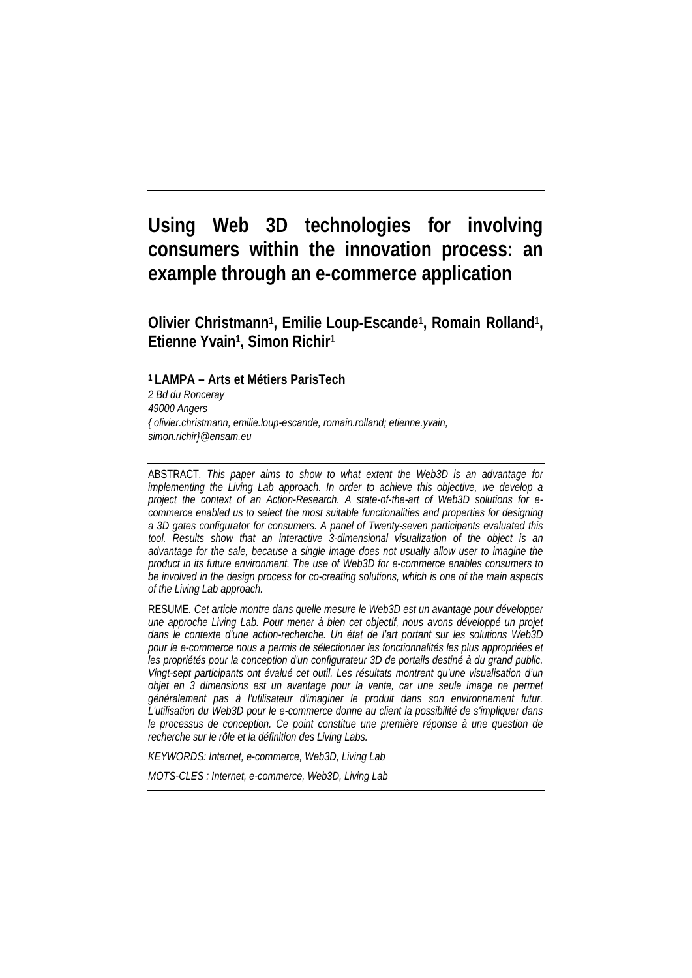# **Using Web 3D technologies for involving consumers within the innovation process: an example through an e-commerce application**

**Olivier Christmann1, Emilie Loup-Escande1, Romain Rolland1, Etienne Yvain1, Simon Richir1**

**1 LAMPA – Arts et Métiers ParisTech** *2 Bd du Ronceray 49000 Angers { olivier.christmann, emilie.loup-escande, romain.rolland; etienne.yvain, simon.richir}@ensam.eu*

ABSTRACT*. This paper aims to show to what extent the Web3D is an advantage for implementing the Living Lab approach. In order to achieve this objective, we develop a project the context of an Action-Research. A state-of-the-art of Web3D solutions for ecommerce enabled us to select the most suitable functionalities and properties for designing a 3D gates configurator for consumers. A panel of Twenty-seven participants evaluated this tool. Results show that an interactive 3-dimensional visualization of the object is an advantage for the sale, because a single image does not usually allow user to imagine the product in its future environment. The use of Web3D for e-commerce enables consumers to be involved in the design process for co-creating solutions, which is one of the main aspects of the Living Lab approach.*

RESUME*. Cet article montre dans quelle mesure le Web3D est un avantage pour développer une approche Living Lab. Pour mener à bien cet objectif, nous avons développé un projet dans le contexte d'une action-recherche. Un état de l'art portant sur les solutions Web3D pour le e-commerce nous a permis de sélectionner les fonctionnalités les plus appropriées et les propriétés pour la conception d'un configurateur 3D de portails destiné à du grand public. Vingt-sept participants ont évalué cet outil. Les résultats montrent qu'une visualisation d'un objet en 3 dimensions est un avantage pour la vente, car une seule image ne permet généralement pas à l'utilisateur d'imaginer le produit dans son environnement futur. L'utilisation du Web3D pour le e-commerce donne au client la possibilité de s'impliquer dans le processus de conception. Ce point constitue une première réponse à une question de recherche sur le rôle et la définition des Living Labs.*

*KEYWORDS: Internet, e-commerce, Web3D, Living Lab*

*MOTS-CLES : Internet, e-commerce, Web3D, Living Lab*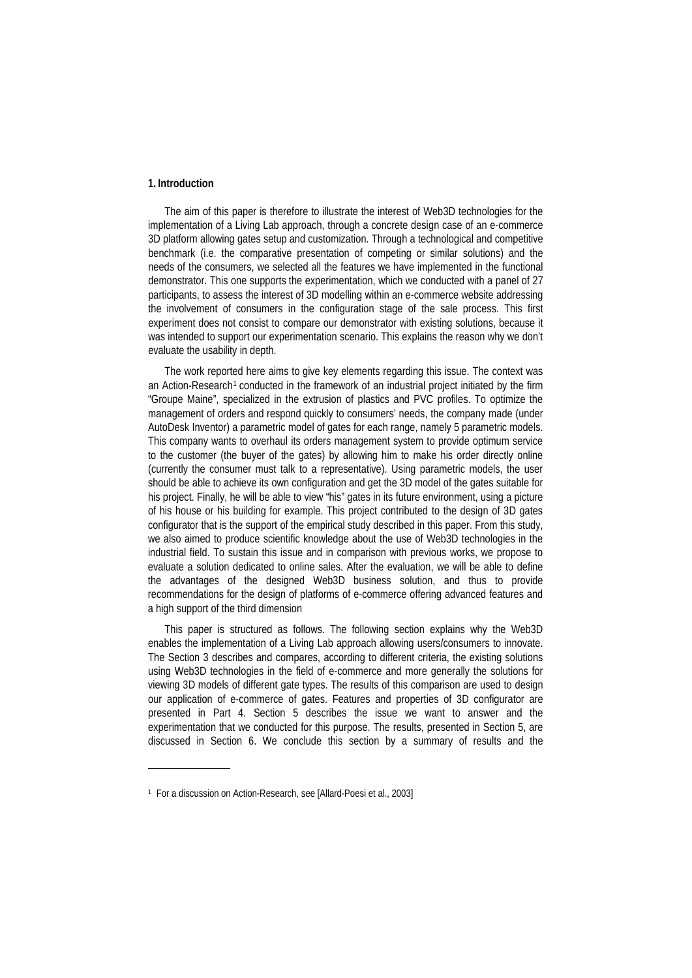## **1. Introduction**

The aim of this paper is therefore to illustrate the interest of Web3D technologies for the implementation of a Living Lab approach, through a concrete design case of an e-commerce 3D platform allowing gates setup and customization. Through a technological and competitive benchmark (i.e. the comparative presentation of competing or similar solutions) and the needs of the consumers, we selected all the features we have implemented in the functional demonstrator. This one supports the experimentation, which we conducted with a panel of 27 participants, to assess the interest of 3D modelling within an e-commerce website addressing the involvement of consumers in the configuration stage of the sale process. This first experiment does not consist to compare our demonstrator with existing solutions, because it was intended to support our experimentation scenario. This explains the reason why we don't evaluate the usability in depth.

The work reported here aims to give key elements regarding this issue. The context was an Action-Research<sup>[1](#page-2-0)</sup> conducted in the framework of an industrial project initiated by the firm "Groupe Maine", specialized in the extrusion of plastics and PVC profiles. To optimize the management of orders and respond quickly to consumers' needs, the company made (under AutoDesk Inventor) a parametric model of gates for each range, namely 5 parametric models. This company wants to overhaul its orders management system to provide optimum service to the customer (the buyer of the gates) by allowing him to make his order directly online (currently the consumer must talk to a representative). Using parametric models, the user should be able to achieve its own configuration and get the 3D model of the gates suitable for his project. Finally, he will be able to view "his" gates in its future environment, using a picture of his house or his building for example. This project contributed to the design of 3D gates configurator that is the support of the empirical study described in this paper. From this study, we also aimed to produce scientific knowledge about the use of Web3D technologies in the industrial field. To sustain this issue and in comparison with previous works, we propose to evaluate a solution dedicated to online sales. After the evaluation, we will be able to define the advantages of the designed Web3D business solution, and thus to provide recommendations for the design of platforms of e-commerce offering advanced features and a high support of the third dimension

This paper is structured as follows. The following section explains why the Web3D enables the implementation of a Living Lab approach allowing users/consumers to innovate. The Section 3 describes and compares, according to different criteria, the existing solutions using Web3D technologies in the field of e-commerce and more generally the solutions for viewing 3D models of different gate types. The results of this comparison are used to design our application of e-commerce of gates. Features and properties of 3D configurator are presented in Part 4. Section 5 describes the issue we want to answer and the experimentation that we conducted for this purpose. The results, presented in Section 5, are discussed in Section 6. We conclude this section by a summary of results and the

<span id="page-2-0"></span><sup>&</sup>lt;sup>1</sup> For a discussion on Action-Research, see [Allard-Poesi et al., 2003]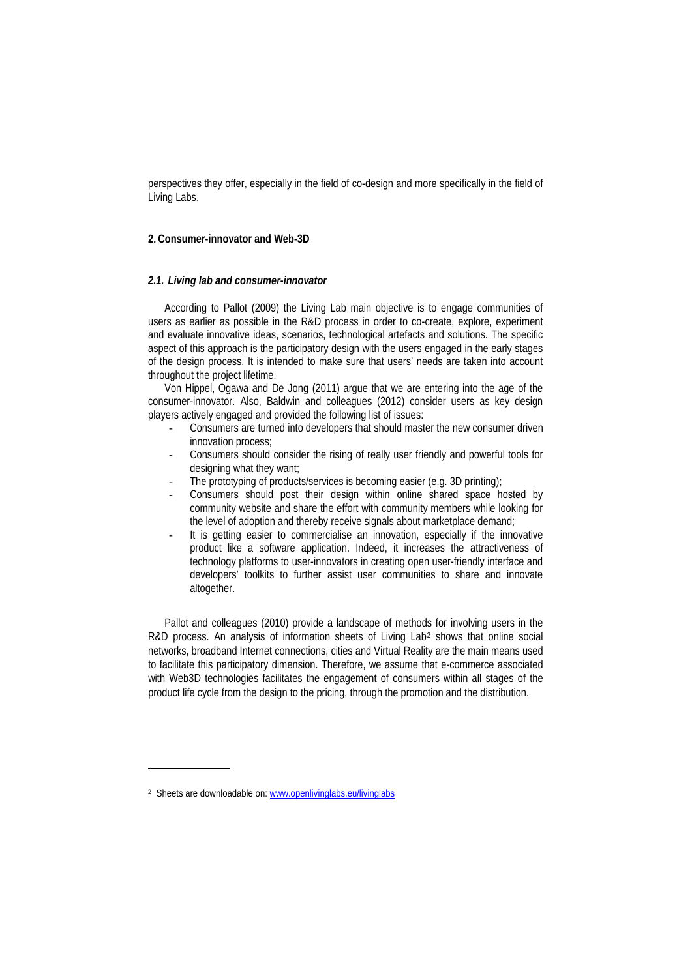perspectives they offer, especially in the field of co-design and more specifically in the field of Living Labs.

## **2. Consumer-innovator and Web-3D**

### *2.1. Living lab and consumer-innovator*

According to Pallot (2009) the Living Lab main objective is to engage communities of users as earlier as possible in the R&D process in order to co-create, explore, experiment and evaluate innovative ideas, scenarios, technological artefacts and solutions. The specific aspect of this approach is the participatory design with the users engaged in the early stages of the design process. It is intended to make sure that users' needs are taken into account throughout the project lifetime.

Von Hippel, Ogawa and De Jong (2011) argue that we are entering into the age of the consumer-innovator. Also, Baldwin and colleagues (2012) consider users as key design players actively engaged and provided the following list of issues:

- Consumers are turned into developers that should master the new consumer driven innovation process;
- Consumers should consider the rising of really user friendly and powerful tools for designing what they want;
- The prototyping of products/services is becoming easier (e.g. 3D printing);
- Consumers should post their design within online shared space hosted by community website and share the effort with community members while looking for the level of adoption and thereby receive signals about marketplace demand;
- It is getting easier to commercialise an innovation, especially if the innovative product like a software application. Indeed, it increases the attractiveness of technology platforms to user-innovators in creating open user-friendly interface and developers' toolkits to further assist user communities to share and innovate altogether.

Pallot and colleagues (2010) provide a landscape of methods for involving users in the R&D process. An analysis of information sheets of Living Lab<sup>[2](#page-3-0)</sup> shows that online social networks, broadband Internet connections, cities and Virtual Reality are the main means used to facilitate this participatory dimension. Therefore, we assume that e-commerce associated with Web3D technologies facilitates the engagement of consumers within all stages of the product life cycle from the design to the pricing, through the promotion and the distribution.

<span id="page-3-0"></span><sup>2</sup> Sheets are downloadable on[: www.openlivinglabs.eu/livinglabs](http://www.openlivinglabs.eu/livinglabs)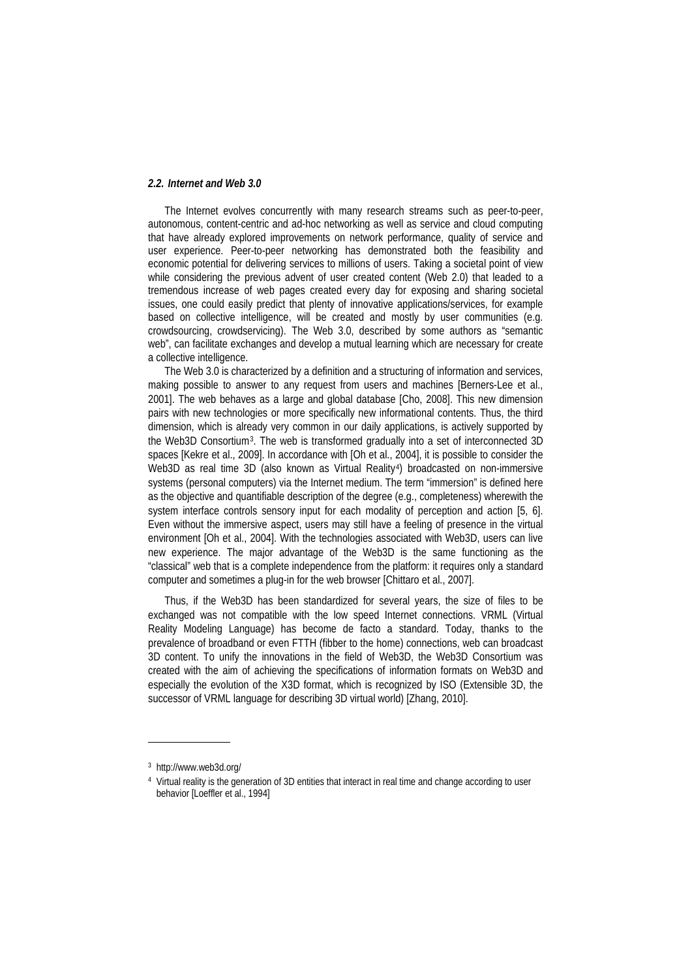## *2.2. Internet and Web 3.0*

The Internet evolves concurrently with many research streams such as peer-to-peer, autonomous, content-centric and ad-hoc networking as well as service and cloud computing that have already explored improvements on network performance, quality of service and user experience. Peer-to-peer networking has demonstrated both the feasibility and economic potential for delivering services to millions of users. Taking a societal point of view while considering the previous advent of user created content (Web 2.0) that leaded to a tremendous increase of web pages created every day for exposing and sharing societal issues, one could easily predict that plenty of innovative applications/services, for example based on collective intelligence, will be created and mostly by user communities (e.g. crowdsourcing, crowdservicing). The Web 3.0, described by some authors as "semantic web", can facilitate exchanges and develop a mutual learning which are necessary for create a collective intelligence.

The Web 3.0 is characterized by a definition and a structuring of information and services, making possible to answer to any request from users and machines [Berners-Lee et al., 2001]. The web behaves as a large and global database [Cho, 2008]. This new dimension pairs with new technologies or more specifically new informational contents. Thus, the third dimension, which is already very common in our daily applications, is actively supported by the Web3D Consortium[3](#page-4-0). The web is transformed gradually into a set of interconnected 3D spaces [Kekre et al., 2009]. In accordance with [Oh et al., 2004], it is possible to consider the Web3D as real time 3D (also known as Virtual Reality<sup>4</sup>) broadcasted on non-immersive systems (personal computers) via the Internet medium. The term "immersion" is defined here as the objective and quantifiable description of the degree (e.g., completeness) wherewith the system interface controls sensory input for each modality of perception and action [5, 6]. Even without the immersive aspect, users may still have a feeling of presence in the virtual environment [Oh et al., 2004]. With the technologies associated with Web3D, users can live new experience. The major advantage of the Web3D is the same functioning as the "classical" web that is a complete independence from the platform: it requires only a standard computer and sometimes a plug-in for the web browser [Chittaro et al., 2007].

Thus, if the Web3D has been standardized for several years, the size of files to be exchanged was not compatible with the low speed Internet connections. VRML (Virtual Reality Modeling Language) has become de facto a standard. Today, thanks to the prevalence of broadband or even FTTH (fibber to the home) connections, web can broadcast 3D content. To unify the innovations in the field of Web3D, the Web3D Consortium was created with the aim of achieving the specifications of information formats on Web3D and especially the evolution of the X3D format, which is recognized by ISO (Extensible 3D, the successor of VRML language for describing 3D virtual world) [Zhang, 2010].

<span id="page-4-0"></span><sup>3</sup> http://www.web3d.org/

<span id="page-4-1"></span><sup>4</sup> Virtual reality is the generation of 3D entities that interact in real time and change according to user behavior [Loeffler et al., 1994]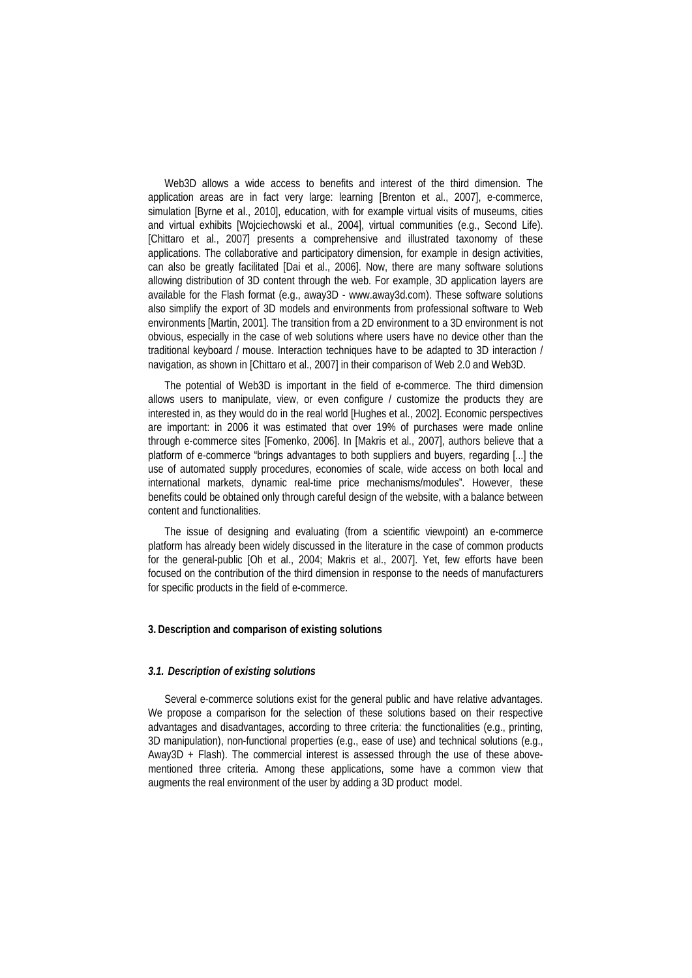Web3D allows a wide access to benefits and interest of the third dimension. The application areas are in fact very large: learning [Brenton et al., 2007], e-commerce, simulation [Byrne et al., 2010], education, with for example virtual visits of museums, cities and virtual exhibits [Wojciechowski et al., 2004], virtual communities (e.g., Second Life). [Chittaro et al., 2007] presents a comprehensive and illustrated taxonomy of these applications. The collaborative and participatory dimension, for example in design activities, can also be greatly facilitated [Dai et al., 2006]. Now, there are many software solutions allowing distribution of 3D content through the web. For example, 3D application layers are available for the Flash format (e.g., away3D - www.away3d.com). These software solutions also simplify the export of 3D models and environments from professional software to Web environments [Martin, 2001]. The transition from a 2D environment to a 3D environment is not obvious, especially in the case of web solutions where users have no device other than the traditional keyboard / mouse. Interaction techniques have to be adapted to 3D interaction / navigation, as shown in [Chittaro et al., 2007] in their comparison of Web 2.0 and Web3D.

The potential of Web3D is important in the field of e-commerce. The third dimension allows users to manipulate, view, or even configure / customize the products they are interested in, as they would do in the real world [Hughes et al., 2002]. Economic perspectives are important: in 2006 it was estimated that over 19% of purchases were made online through e-commerce sites [Fomenko, 2006]. In [Makris et al., 2007], authors believe that a platform of e-commerce "brings advantages to both suppliers and buyers, regarding [...] the use of automated supply procedures, economies of scale, wide access on both local and international markets, dynamic real-time price mechanisms/modules". However, these benefits could be obtained only through careful design of the website, with a balance between content and functionalities.

The issue of designing and evaluating (from a scientific viewpoint) an e-commerce platform has already been widely discussed in the literature in the case of common products for the general-public [Oh et al., 2004; Makris et al., 2007]. Yet, few efforts have been focused on the contribution of the third dimension in response to the needs of manufacturers for specific products in the field of e-commerce.

## **3. Description and comparison of existing solutions**

## *3.1. Description of existing solutions*

Several e-commerce solutions exist for the general public and have relative advantages. We propose a comparison for the selection of these solutions based on their respective advantages and disadvantages, according to three criteria: the functionalities (e.g., printing, 3D manipulation), non-functional properties (e.g., ease of use) and technical solutions (e.g., Away3D + Flash). The commercial interest is assessed through the use of these abovementioned three criteria. Among these applications, some have a common view that augments the real environment of the user by adding a 3D product model.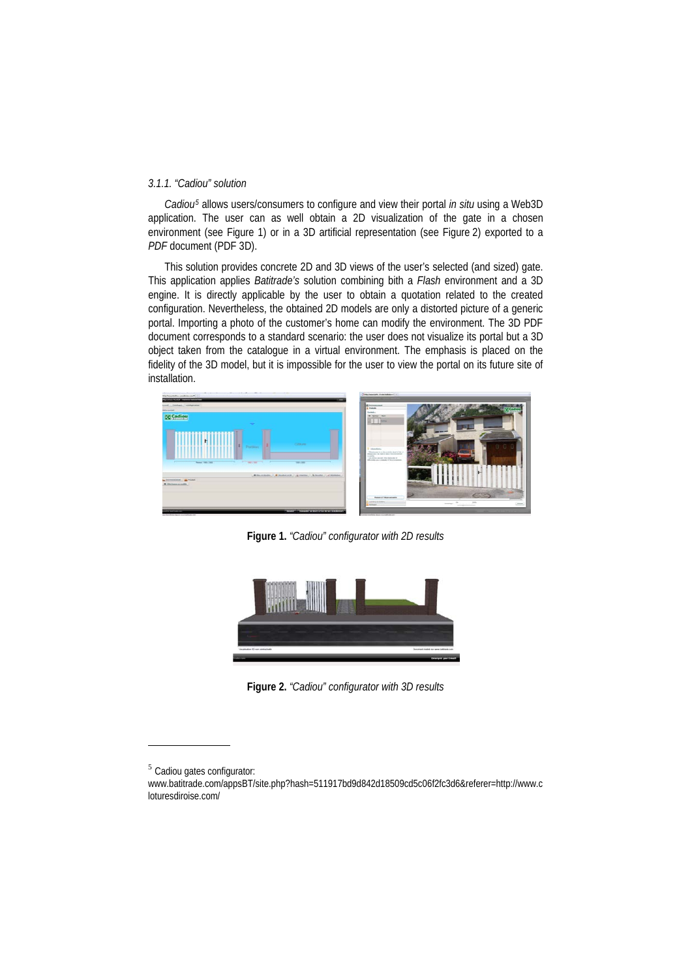## *3.1.1. "Cadiou" solution*

*Cadiou[5](#page-6-0)* allows users/consumers to configure and view their portal *in situ* using a Web3D application. The user can as well obtain a 2D visualization of the gate in a chosen environment (see Figure 1) or in a 3D artificial representation (see Figure 2) exported to a *PDF* document (PDF 3D).

This solution provides concrete 2D and 3D views of the user's selected (and sized) gate. This application applies *Batitrade's* solution combining bith a *Flash* environment and a 3D engine. It is directly applicable by the user to obtain a quotation related to the created configuration. Nevertheless, the obtained 2D models are only a distorted picture of a generic portal. Importing a photo of the customer's home can modify the environment. The 3D PDF document corresponds to a standard scenario: the user does not visualize its portal but a 3D object taken from the catalogue in a virtual environment. The emphasis is placed on the fidelity of the 3D model, but it is impossible for the user to view the portal on its future site of installation.



**Figure 1.** *"Cadiou" configurator with 2D results*



**Figure 2.** *"Cadiou" configurator with 3D results*

<span id="page-6-0"></span><sup>5</sup> Cadiou gates configurator:

www.batitrade.com/appsBT/site.php?hash=511917bd9d842d18509cd5c06f2fc3d6&referer=http://www.c loturesdiroise.com/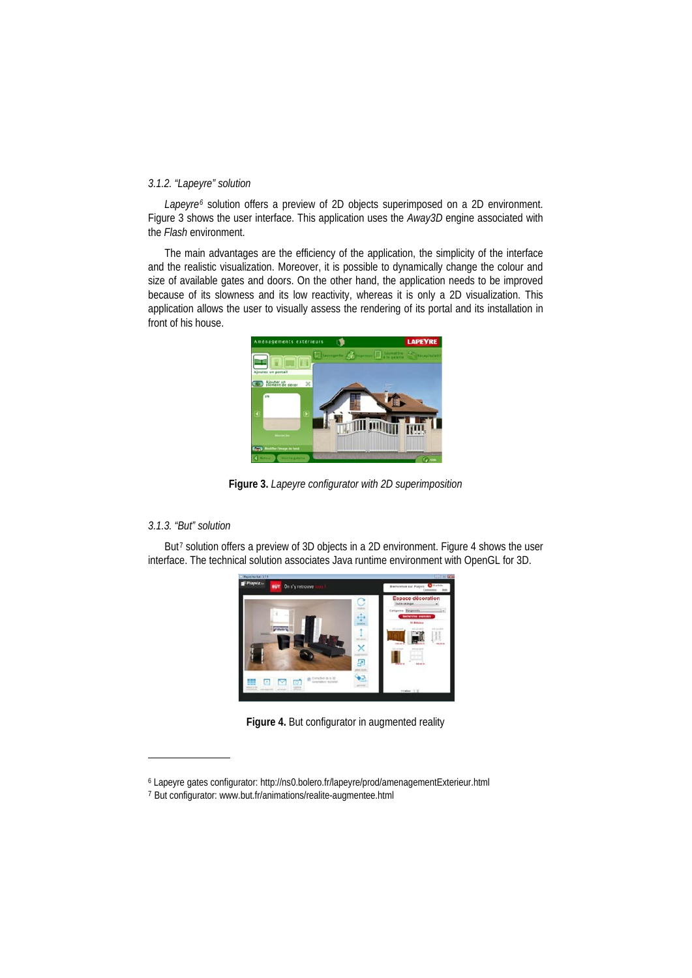## *3.1.2. "Lapeyre" solution*

*Lapeyre[6](#page-7-0)* solution offers a preview of 2D objects superimposed on a 2D environment. Figure 3 shows the user interface. This application uses the *Away3D* engine associated with the *Flash* environment.

The main advantages are the efficiency of the application, the simplicity of the interface and the realistic visualization. Moreover, it is possible to dynamically change the colour and size of available gates and doors. On the other hand, the application needs to be improved because of its slowness and its low reactivity, whereas it is only a 2D visualization. This application allows the user to visually assess the rendering of its portal and its installation in front of his house.



**Figure 3.** *Lapeyre configurator with 2D superimposition*

## *3.1.3. "But" solution*

-

But<sup>[7](#page-7-1)</sup> solution offers a preview of 3D objects in a 2D environment. Figure 4 shows the user interface. The technical solution associates Java runtime environment with OpenGL for 3D.



**Figure 4.** But configurator in augmented reality

<span id="page-7-0"></span><sup>6</sup> Lapeyre gates configurator: http://ns0.bolero.fr/lapeyre/prod/amenagementExterieur.html

<span id="page-7-1"></span><sup>7</sup> But configurator: www.but.fr/animations/realite-augmentee.html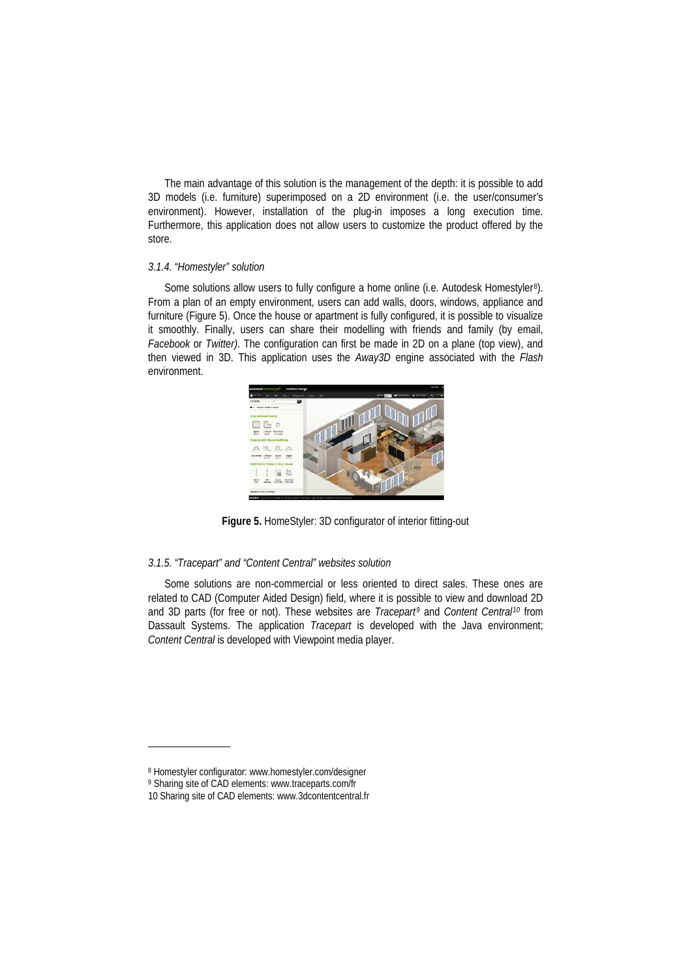The main advantage of this solution is the management of the depth: it is possible to add 3D models (i.e. furniture) superimposed on a 2D environment (i.e. the user/consumer's environment). However, installation of the plug-in imposes a long execution time. Furthermore, this application does not allow users to customize the product offered by the store.

## *3.1.4. "Homestyler" solution*

Some solutions allow users to fully configure a home online (i.e. Autodesk Homestyler<sup>[8](#page-8-0)</sup>). From a plan of an empty environment, users can add walls, doors, windows, appliance and furniture (Figure 5). Once the house or apartment is fully configured, it is possible to visualize it smoothly. Finally, users can share their modelling with friends and family (by email, *Facebook* or *Twitter)*. The configuration can first be made in 2D on a plane (top view), and then viewed in 3D. This application uses the *Away3D* engine associated with the *Flash* environment.



**Figure 5.** HomeStyler: 3D configurator of interior fitting-out

#### *3.1.5. "Tracepart" and "Content Central" websites solution*

Some solutions are non-commercial or less oriented to direct sales. These ones are related to CAD (Computer Aided Design) field, where it is possible to view and download 2D and 3D parts (for free or not). These websites are *Tracepart[9](#page-8-1)* and *Content Central[10](#page-8-2)* from Dassault Systems. The application *Tracepart* is developed with the Java environment; *Content Central* is developed with Viewpoint media player.

<span id="page-8-0"></span><sup>8</sup> Homestyler configurator: www.homestyler.com/designer

<span id="page-8-1"></span><sup>9</sup> Sharing site of CAD elements: www.traceparts.com/fr

<span id="page-8-2"></span><sup>10</sup> Sharing site of CAD elements: www.3dcontentcentral.fr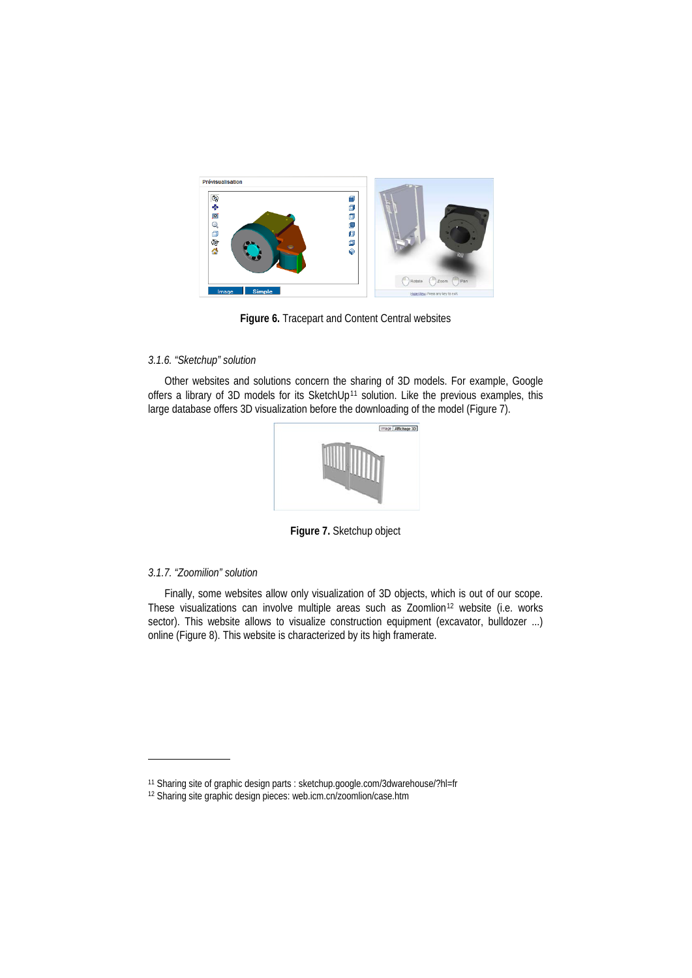

**Figure 6.** Tracepart and Content Central websites

## *3.1.6. "Sketchup" solution*

Other websites and solutions concern the sharing of 3D models. For example, Google offers a library of 3D models for its SketchUp<sup>[11](#page-9-0)</sup> solution. Like the previous examples, this large database offers 3D visualization before the downloading of the model (Figure 7).



**Figure 7.** Sketchup object

## *3.1.7. "Zoomilion" solution*

-

Finally, some websites allow only visualization of 3D objects, which is out of our scope. These visualizations can involve multiple areas such as Zoomlion<sup>[12](#page-9-1)</sup> website (i.e. works sector). This website allows to visualize construction equipment (excavator, bulldozer ...) online (Figure 8). This website is characterized by its high framerate.

<span id="page-9-0"></span><sup>11</sup> Sharing site of graphic design parts : sketchup.google.com/3dwarehouse/?hl=fr

<span id="page-9-1"></span><sup>12</sup> Sharing site graphic design pieces: web.icm.cn/zoomlion/case.htm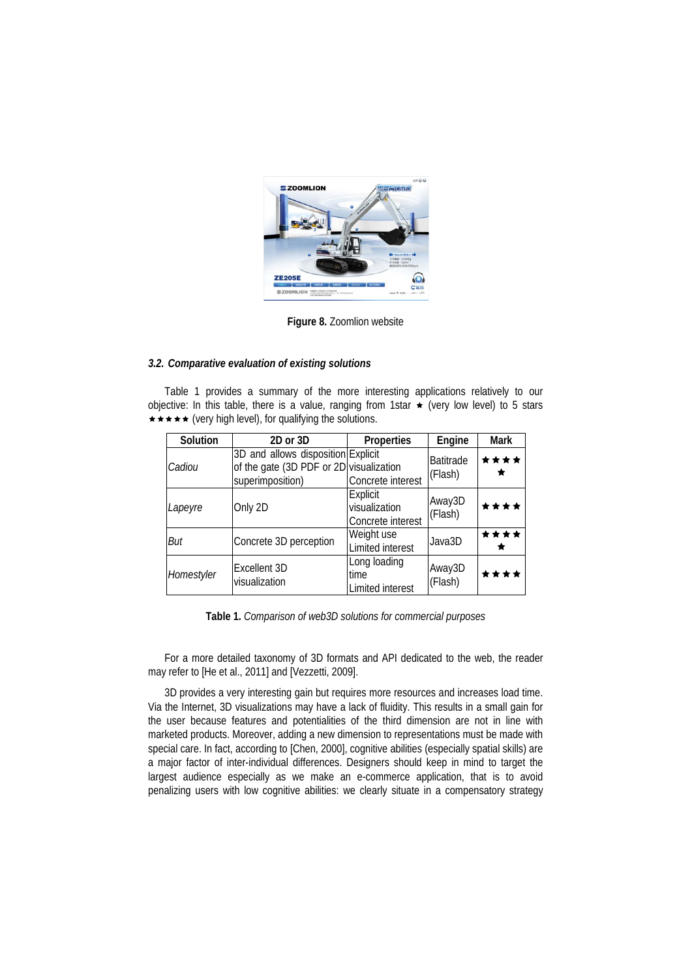

**Figure 8.** Zoomlion website

# *3.2. Comparative evaluation of existing solutions*

Table 1 provides a summary of the more interesting applications relatively to our objective: In this table, there is a value, ranging from 1star  $\star$  (very low level) to 5 stars  $\star \star \star \star$  (very high level), for qualifying the solutions.

| Solution   | 2D or 3D                                                                                          | <b>Properties</b>                              | Engine                      | Mark      |
|------------|---------------------------------------------------------------------------------------------------|------------------------------------------------|-----------------------------|-----------|
| Cadiou     | 3D and allows disposition Explicit<br>of the gate (3D PDF or 2D visualization<br>superimposition) | Concrete interest                              | <b>Batitrade</b><br>(Flash) | ****      |
| Lapeyre    | Only 2D                                                                                           | Explicit<br>visualization<br>Concrete interest | Away3D<br>(Flash)           | ****      |
| But        | Concrete 3D perception                                                                            | Weight use<br>Limited interest                 | Java3D                      | ****<br>★ |
| Homestyler | Excellent 3D<br>visualization                                                                     | Long loading<br>time<br>Limited interest       | Away3D<br>(Flash)           | ****      |

**Table 1.** *Comparison of web3D solutions for commercial purposes*

For a more detailed taxonomy of 3D formats and API dedicated to the web, the reader may refer to [He et al., 2011] and [Vezzetti, 2009].

3D provides a very interesting gain but requires more resources and increases load time. Via the Internet, 3D visualizations may have a lack of fluidity. This results in a small gain for the user because features and potentialities of the third dimension are not in line with marketed products. Moreover, adding a new dimension to representations must be made with special care. In fact, according to [Chen, 2000], cognitive abilities (especially spatial skills) are a major factor of inter-individual differences. Designers should keep in mind to target the largest audience especially as we make an e-commerce application, that is to avoid penalizing users with low cognitive abilities: we clearly situate in a compensatory strategy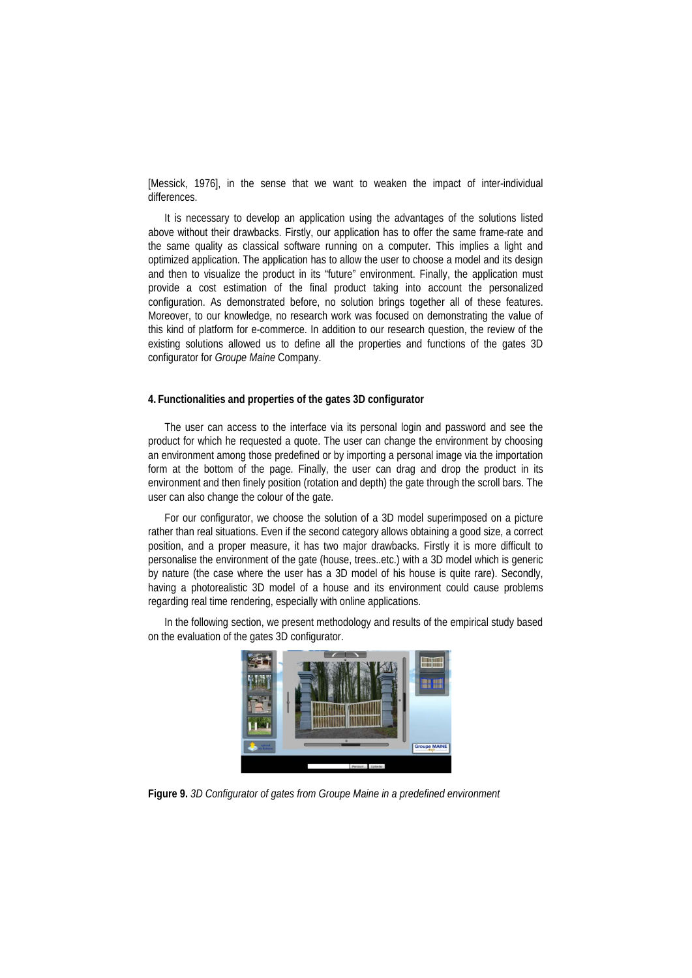[Messick, 1976], in the sense that we want to weaken the impact of inter-individual differences.

It is necessary to develop an application using the advantages of the solutions listed above without their drawbacks. Firstly, our application has to offer the same frame-rate and the same quality as classical software running on a computer. This implies a light and optimized application. The application has to allow the user to choose a model and its design and then to visualize the product in its "future" environment. Finally, the application must provide a cost estimation of the final product taking into account the personalized configuration. As demonstrated before, no solution brings together all of these features. Moreover, to our knowledge, no research work was focused on demonstrating the value of this kind of platform for e-commerce. In addition to our research question, the review of the existing solutions allowed us to define all the properties and functions of the gates 3D configurator for *Groupe Maine* Company.

## **4. Functionalities and properties of the gates 3D configurator**

The user can access to the interface via its personal login and password and see the product for which he requested a quote. The user can change the environment by choosing an environment among those predefined or by importing a personal image via the importation form at the bottom of the page. Finally, the user can drag and drop the product in its environment and then finely position (rotation and depth) the gate through the scroll bars. The user can also change the colour of the gate.

For our configurator, we choose the solution of a 3D model superimposed on a picture rather than real situations. Even if the second category allows obtaining a good size, a correct position, and a proper measure, it has two major drawbacks. Firstly it is more difficult to personalise the environment of the gate (house, trees..etc.) with a 3D model which is generic by nature (the case where the user has a 3D model of his house is quite rare). Secondly, having a photorealistic 3D model of a house and its environment could cause problems regarding real time rendering, especially with online applications.

In the following section, we present methodology and results of the empirical study based on the evaluation of the gates 3D configurator.



**Figure 9.** *3D Configurator of gates from Groupe Maine in a predefined environment*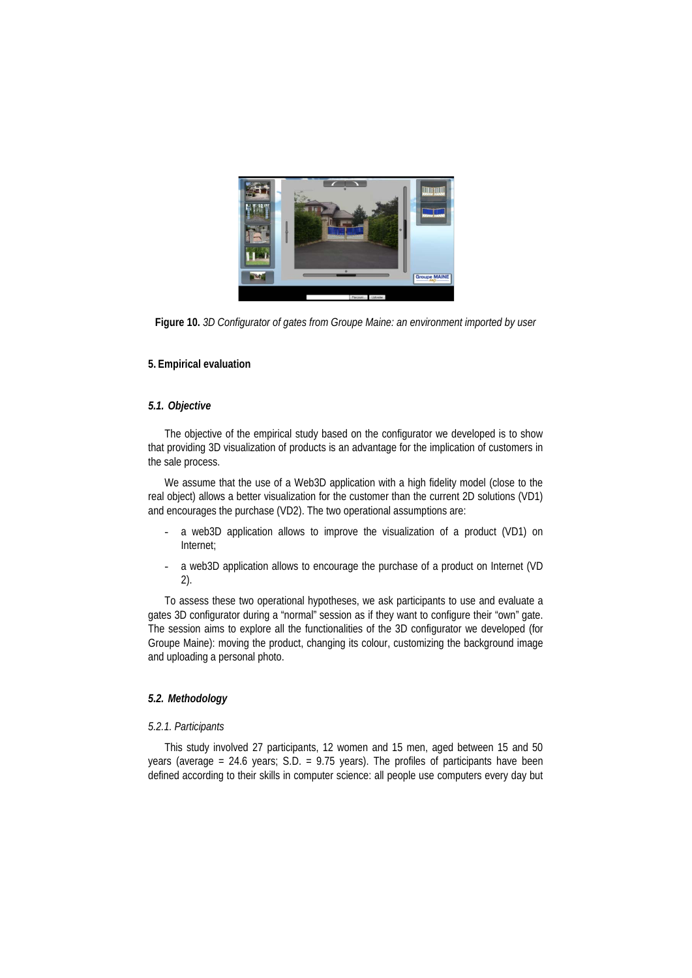

**Figure 10.** *3D Configurator of gates from Groupe Maine: an environment imported by user*

## **5. Empirical evaluation**

## *5.1. Objective*

The objective of the empirical study based on the configurator we developed is to show that providing 3D visualization of products is an advantage for the implication of customers in the sale process.

We assume that the use of a Web3D application with a high fidelity model (close to the real object) allows a better visualization for the customer than the current 2D solutions (VD1) and encourages the purchase (VD2). The two operational assumptions are:

- a web3D application allows to improve the visualization of a product (VD1) on Internet;
- a web3D application allows to encourage the purchase of a product on Internet (VD 2).

To assess these two operational hypotheses, we ask participants to use and evaluate a gates 3D configurator during a "normal" session as if they want to configure their "own" gate. The session aims to explore all the functionalities of the 3D configurator we developed (for Groupe Maine): moving the product, changing its colour, customizing the background image and uploading a personal photo.

## *5.2. Methodology*

#### *5.2.1. Participants*

This study involved 27 participants, 12 women and 15 men, aged between 15 and 50 years (average = 24.6 years;  $S.D. = 9.75$  years). The profiles of participants have been defined according to their skills in computer science: all people use computers every day but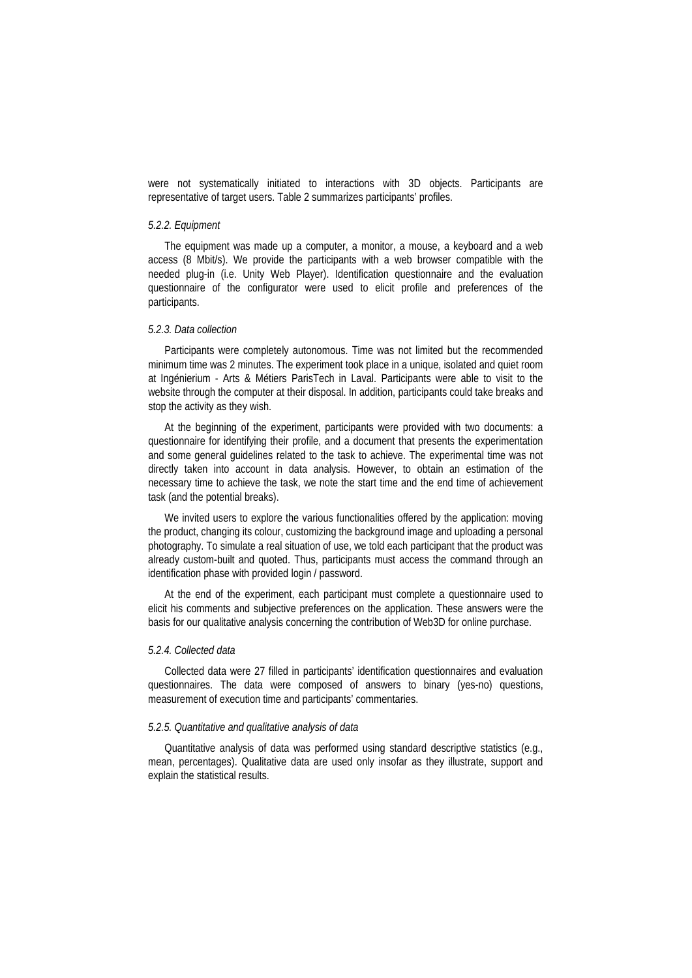were not systematically initiated to interactions with 3D objects. Participants are representative of target users. Table 2 summarizes participants' profiles.

## *5.2.2. Equipment*

The equipment was made up a computer, a monitor, a mouse, a keyboard and a web access (8 Mbit/s). We provide the participants with a web browser compatible with the needed plug-in (i.e. Unity Web Player). Identification questionnaire and the evaluation questionnaire of the configurator were used to elicit profile and preferences of the participants.

#### *5.2.3. Data collection*

Participants were completely autonomous. Time was not limited but the recommended minimum time was 2 minutes. The experiment took place in a unique, isolated and quiet room at Ingénierium - Arts & Métiers ParisTech in Laval. Participants were able to visit to the website through the computer at their disposal. In addition, participants could take breaks and stop the activity as they wish.

At the beginning of the experiment, participants were provided with two documents: a questionnaire for identifying their profile, and a document that presents the experimentation and some general guidelines related to the task to achieve. The experimental time was not directly taken into account in data analysis. However, to obtain an estimation of the necessary time to achieve the task, we note the start time and the end time of achievement task (and the potential breaks).

We invited users to explore the various functionalities offered by the application: moving the product, changing its colour, customizing the background image and uploading a personal photography. To simulate a real situation of use, we told each participant that the product was already custom-built and quoted. Thus, participants must access the command through an identification phase with provided login / password.

At the end of the experiment, each participant must complete a questionnaire used to elicit his comments and subjective preferences on the application. These answers were the basis for our qualitative analysis concerning the contribution of Web3D for online purchase.

#### *5.2.4. Collected data*

Collected data were 27 filled in participants' identification questionnaires and evaluation questionnaires. The data were composed of answers to binary (yes-no) questions, measurement of execution time and participants' commentaries.

#### *5.2.5. Quantitative and qualitative analysis of data*

Quantitative analysis of data was performed using standard descriptive statistics (e.g., mean, percentages). Qualitative data are used only insofar as they illustrate, support and explain the statistical results.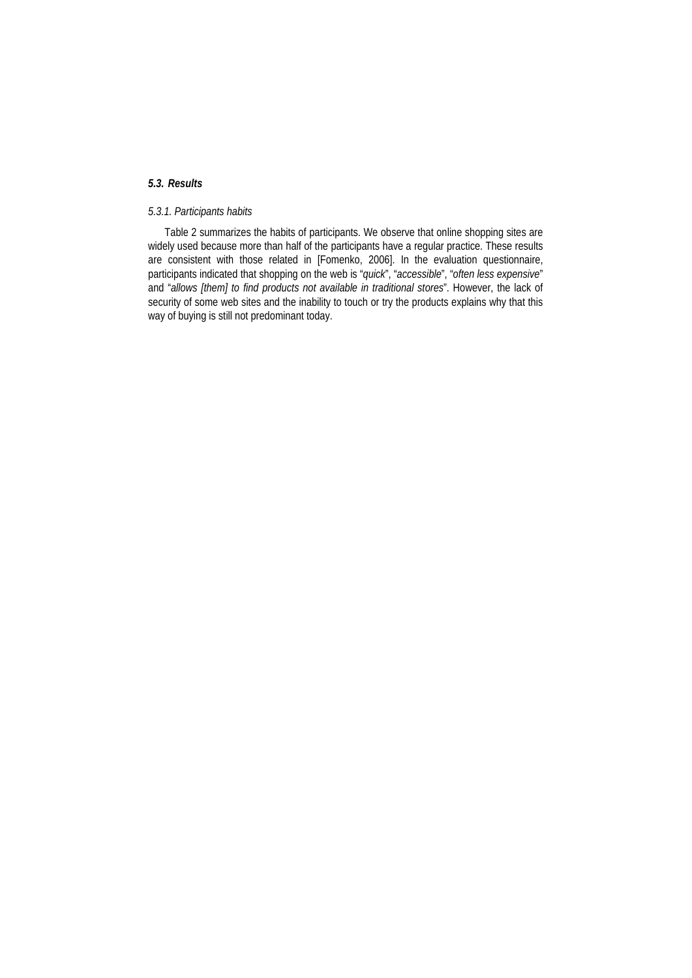# *5.3. Results*

# *5.3.1. Participants habits*

Table 2 summarizes the habits of participants. We observe that online shopping sites are widely used because more than half of the participants have a regular practice. These results are consistent with those related in [Fomenko, 2006]. In the evaluation questionnaire, participants indicated that shopping on the web is "*quick*", "*accessible*", "*often less expensive*" and "*allows [them] to find products not available in traditional stores*". However, the lack of security of some web sites and the inability to touch or try the products explains why that this way of buying is still not predominant today.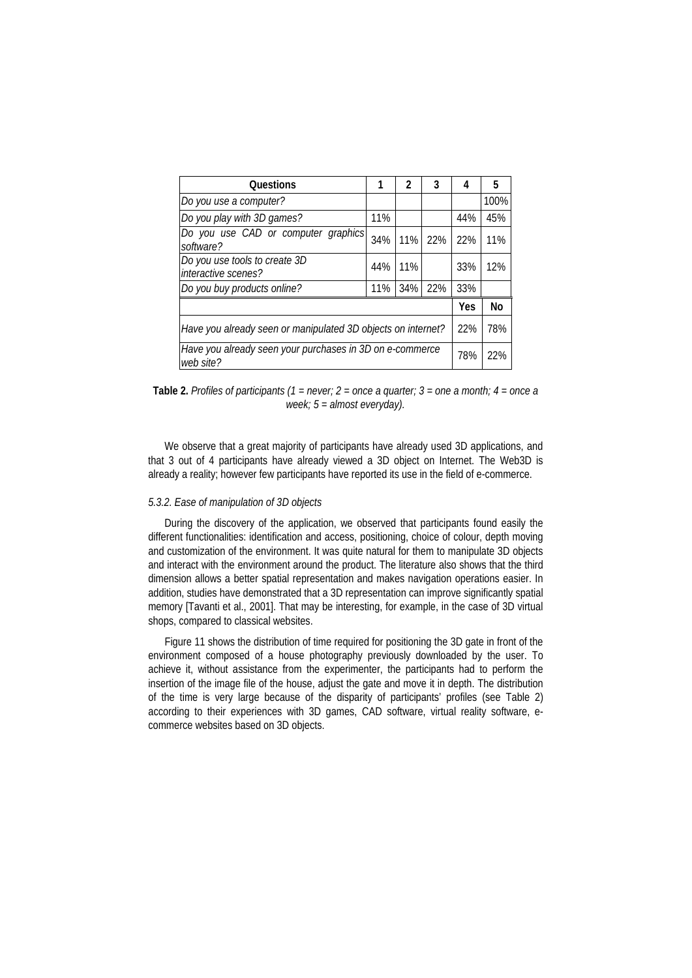| <b>Questions</b>                                                      |     | $\mathfrak z$ | 3   | 4   | 5    |
|-----------------------------------------------------------------------|-----|---------------|-----|-----|------|
| Do you use a computer?                                                |     |               |     |     | 100% |
| Do you play with 3D games?                                            |     |               |     | 44% | 45%  |
| Do you use CAD or computer graphics<br>software?                      |     | $11\%$        | 22% | 22% | 11%  |
| Do you use tools to create 3D<br>interactive scenes?                  | 44% | 11%           |     | 33% | 12%  |
| Do you buy products online?                                           | 11% | 34%           | 22% | 33% |      |
|                                                                       | Yes | No            |     |     |      |
| Have you already seen or manipulated 3D objects on internet?          |     |               |     |     | 78%  |
| Have you already seen your purchases in 3D on e-commerce<br>web site? | 78% | 22%           |     |     |      |

**Table 2.** *Profiles of participants (1 = never; 2 = once a quarter; 3 = one a month; 4 = once a week; 5 = almost everyday).*

We observe that a great majority of participants have already used 3D applications, and that 3 out of 4 participants have already viewed a 3D object on Internet. The Web3D is already a reality; however few participants have reported its use in the field of e-commerce.

## *5.3.2. Ease of manipulation of 3D objects*

During the discovery of the application, we observed that participants found easily the different functionalities: identification and access, positioning, choice of colour, depth moving and customization of the environment. It was quite natural for them to manipulate 3D objects and interact with the environment around the product. The literature also shows that the third dimension allows a better spatial representation and makes navigation operations easier. In addition, studies have demonstrated that a 3D representation can improve significantly spatial memory [Tavanti et al., 2001]. That may be interesting, for example, in the case of 3D virtual shops, compared to classical websites.

Figure 11 shows the distribution of time required for positioning the 3D gate in front of the environment composed of a house photography previously downloaded by the user. To achieve it, without assistance from the experimenter, the participants had to perform the insertion of the image file of the house, adjust the gate and move it in depth. The distribution of the time is very large because of the disparity of participants' profiles (see Table 2) according to their experiences with 3D games, CAD software, virtual reality software, ecommerce websites based on 3D objects.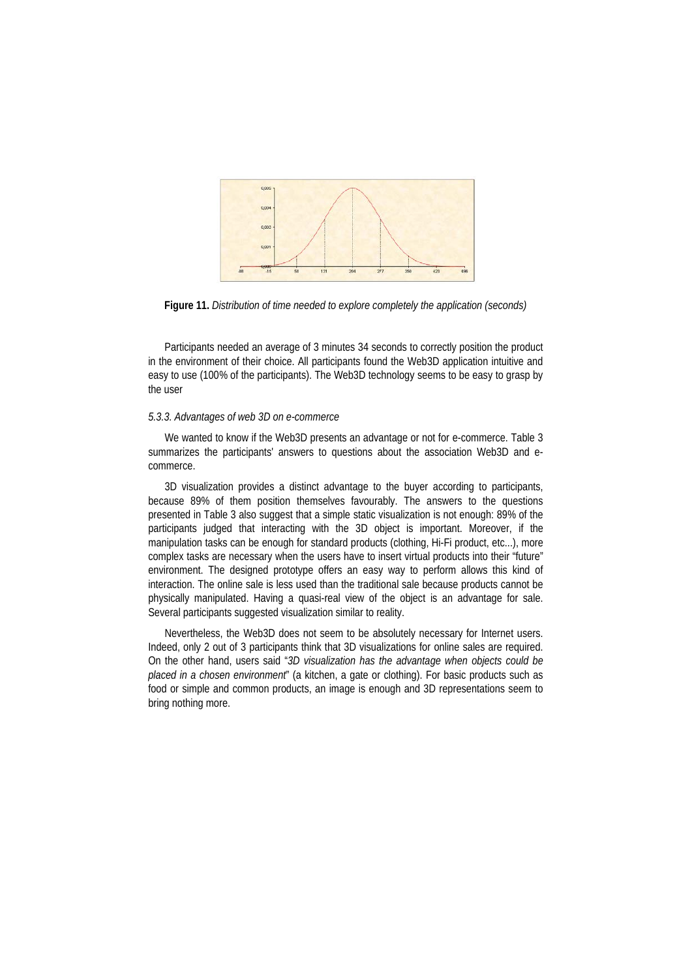

**Figure 11.** *Distribution of time needed to explore completely the application (seconds)*

Participants needed an average of 3 minutes 34 seconds to correctly position the product in the environment of their choice. All participants found the Web3D application intuitive and easy to use (100% of the participants). The Web3D technology seems to be easy to grasp by the user

### *5.3.3. Advantages of web 3D on e-commerce*

We wanted to know if the Web3D presents an advantage or not for e-commerce. Table 3 summarizes the participants' answers to questions about the association Web3D and ecommerce.

3D visualization provides a distinct advantage to the buyer according to participants, because 89% of them position themselves favourably. The answers to the questions presented in Table 3 also suggest that a simple static visualization is not enough: 89% of the participants judged that interacting with the 3D object is important. Moreover, if the manipulation tasks can be enough for standard products (clothing, Hi-Fi product, etc...), more complex tasks are necessary when the users have to insert virtual products into their "future" environment. The designed prototype offers an easy way to perform allows this kind of interaction. The online sale is less used than the traditional sale because products cannot be physically manipulated. Having a quasi-real view of the object is an advantage for sale. Several participants suggested visualization similar to reality.

Nevertheless, the Web3D does not seem to be absolutely necessary for Internet users. Indeed, only 2 out of 3 participants think that 3D visualizations for online sales are required. On the other hand, users said "*3D visualization has the advantage when objects could be placed in a chosen environment*" (a kitchen, a gate or clothing). For basic products such as food or simple and common products, an image is enough and 3D representations seem to bring nothing more.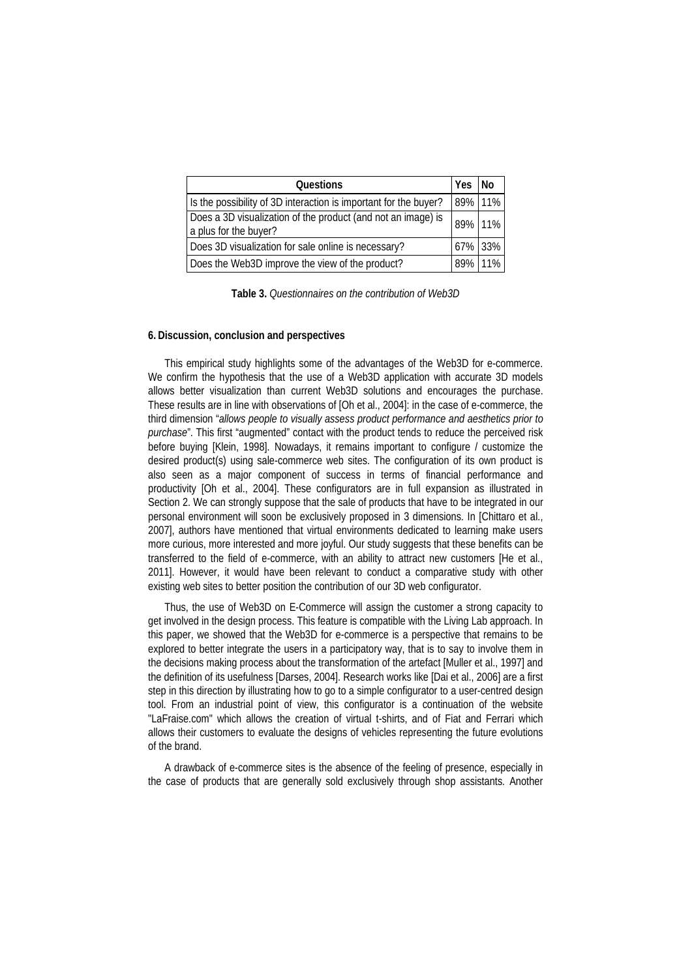| Questions                                                                             | Yes     | l No |
|---------------------------------------------------------------------------------------|---------|------|
| Is the possibility of 3D interaction is important for the buyer?                      | 89% 11% |      |
| Does a 3D visualization of the product (and not an image) is<br>a plus for the buyer? | 89% 11% |      |
| Does 3D visualization for sale online is necessary?                                   | 67% 33% |      |
| Does the Web3D improve the view of the product?                                       | 89% 11% |      |

**Table 3.** *Questionnaires on the contribution of Web3D*

## **6. Discussion, conclusion and perspectives**

This empirical study highlights some of the advantages of the Web3D for e-commerce. We confirm the hypothesis that the use of a Web3D application with accurate 3D models allows better visualization than current Web3D solutions and encourages the purchase. These results are in line with observations of [Oh et al., 2004]: in the case of e-commerce, the third dimension "*allows people to visually assess product performance and aesthetics prior to purchase*". This first "augmented" contact with the product tends to reduce the perceived risk before buying [Klein, 1998]. Nowadays, it remains important to configure / customize the desired product(s) using sale-commerce web sites. The configuration of its own product is also seen as a major component of success in terms of financial performance and productivity [Oh et al., 2004]. These configurators are in full expansion as illustrated in Section 2. We can strongly suppose that the sale of products that have to be integrated in our personal environment will soon be exclusively proposed in 3 dimensions. In [Chittaro et al., 2007], authors have mentioned that virtual environments dedicated to learning make users more curious, more interested and more joyful. Our study suggests that these benefits can be transferred to the field of e-commerce, with an ability to attract new customers [He et al., 2011]. However, it would have been relevant to conduct a comparative study with other existing web sites to better position the contribution of our 3D web configurator.

Thus, the use of Web3D on E-Commerce will assign the customer a strong capacity to get involved in the design process. This feature is compatible with the Living Lab approach. In this paper, we showed that the Web3D for e-commerce is a perspective that remains to be explored to better integrate the users in a participatory way, that is to say to involve them in the decisions making process about the transformation of the artefact [Muller et al., 1997] and the definition of its usefulness [Darses, 2004]. Research works like [Dai et al., 2006] are a first step in this direction by illustrating how to go to a simple configurator to a user-centred design tool. From an industrial point of view, this configurator is a continuation of the website "LaFraise.com" which allows the creation of virtual t-shirts, and of Fiat and Ferrari which allows their customers to evaluate the designs of vehicles representing the future evolutions of the brand.

A drawback of e-commerce sites is the absence of the feeling of presence, especially in the case of products that are generally sold exclusively through shop assistants. Another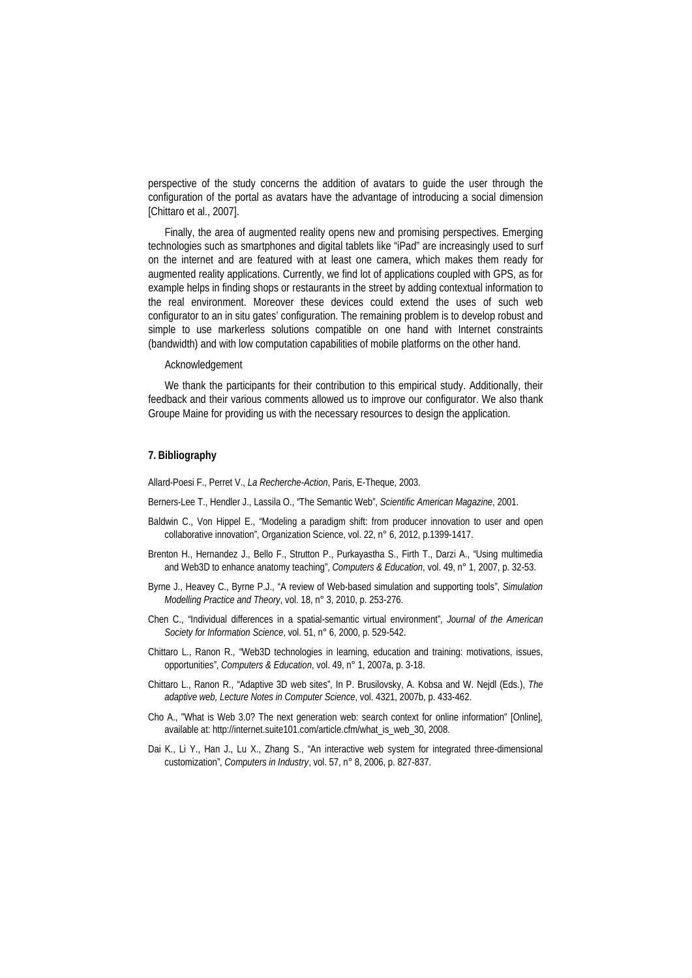perspective of the study concerns the addition of avatars to guide the user through the configuration of the portal as avatars have the advantage of introducing a social dimension [Chittaro et al., 2007].

Finally, the area of augmented reality opens new and promising perspectives. Emerging technologies such as smartphones and digital tablets like "iPad" are increasingly used to surf on the internet and are featured with at least one camera, which makes them ready for augmented reality applications. Currently, we find lot of applications coupled with GPS, as for example helps in finding shops or restaurants in the street by adding contextual information to the real environment. Moreover these devices could extend the uses of such web configurator to an in situ gates' configuration. The remaining problem is to develop robust and simple to use markerless solutions compatible on one hand with Internet constraints (bandwidth) and with low computation capabilities of mobile platforms on the other hand.

#### Acknowledgement

We thank the participants for their contribution to this empirical study. Additionally, their feedback and their various comments allowed us to improve our configurator. We also thank Groupe Maine for providing us with the necessary resources to design the application.

## **7. Bibliography**

Allard-Poesi F., Perret V., *La Recherche-Action*, Paris, E-Theque, 2003.

- Berners-Lee T., Hendler J., Lassila O., "The Semantic Web", *Scientific American Magazine*, 2001.
- Baldwin C., Von Hippel E., "Modeling a paradigm shift: from producer innovation to user and open collaborative innovation", Organization Science, vol. 22, n° 6, 2012, p.1399-1417.
- Brenton H., Hernandez J., Bello F., Strutton P., Purkayastha S., Firth T., Darzi A., "Using multimedia and Web3D to enhance anatomy teaching", *Computers & Education*, vol. 49, n° 1, 2007, p. 32-53.
- Byrne J., Heavey C., Byrne P.J., "A review of Web-based simulation and supporting tools", *Simulation Modelling Practice and Theory*, vol. 18, n° 3, 2010, p. 253-276.
- Chen C., "Individual differences in a spatial-semantic virtual environment", *Journal of the American Society for Information Science*, vol. 51, n° 6, 2000, p. 529-542.
- Chittaro L., Ranon R., "Web3D technologies in learning, education and training: motivations, issues, opportunities", *Computers & Education*, vol. 49, n° 1, 2007a, p. 3-18.
- Chittaro L., Ranon R., "Adaptive 3D web sites", In P. Brusilovsky, A. Kobsa and W. Nejdl (Eds.), *The adaptive web, Lecture Notes in Computer Science*, vol. 4321, 2007b, p. 433-462.
- Cho A., "What is Web 3.0? The next generation web: search context for online information" [Online], available at: http://internet.suite101.com/article.cfm/what\_is\_web\_30, 2008.
- Dai K., Li Y., Han J., Lu X., Zhang S., "An interactive web system for integrated three-dimensional customization", *Computers in Industry*, vol. 57, n° 8, 2006, p. 827-837.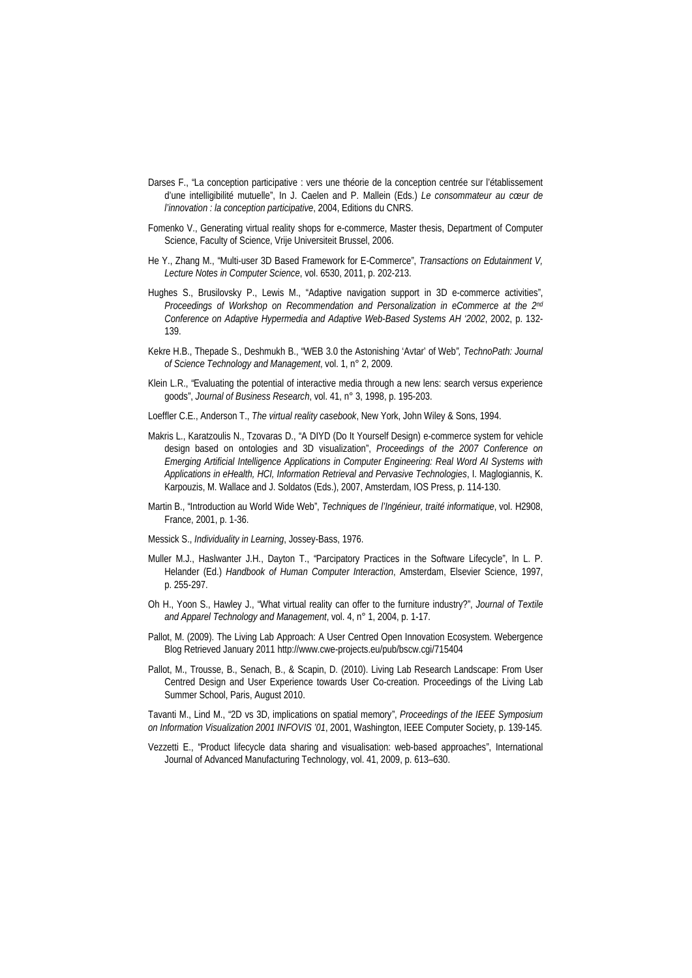- Darses F., "La conception participative : vers une théorie de la conception centrée sur l'établissement d'une intelligibilité mutuelle", In J. Caelen and P. Mallein (Eds.) *Le consommateur au cœur de l'innovation : la conception participative*, 2004, Editions du CNRS.
- Fomenko V., Generating virtual reality shops for e-commerce, Master thesis, Department of Computer Science, Faculty of Science, Vrije Universiteit Brussel, 2006.
- He Y., Zhang M., "Multi-user 3D Based Framework for E-Commerce", *Transactions on Edutainment V, Lecture Notes in Computer Science*, vol. 6530, 2011, p. 202-213.
- Hughes S., Brusilovsky P., Lewis M., "Adaptive navigation support in 3D e-commerce activities", *Proceedings of Workshop on Recommendation and Personalization in eCommerce at the 2nd Conference on Adaptive Hypermedia and Adaptive Web-Based Systems AH '2002*, 2002, p. 132- 139.
- Kekre H.B., Thepade S., Deshmukh B., "WEB 3.0 the Astonishing 'Avtar' of Web*", TechnoPath: Journal of Science Technology and Management*, vol. 1, n° 2, 2009.
- Klein L.R., "Evaluating the potential of interactive media through a new lens: search versus experience goods", *Journal of Business Research*, vol. 41, n° 3, 1998, p. 195-203.
- Loeffler C.E., Anderson T., *The virtual reality casebook*, New York, John Wiley & Sons, 1994.
- Makris L., Karatzoulis N., Tzovaras D., "A DIYD (Do It Yourself Design) e-commerce system for vehicle design based on ontologies and 3D visualization", *Proceedings of the 2007 Conference on Emerging Artificial Intelligence Applications in Computer Engineering: Real Word AI Systems with Applications in eHealth, HCI, Information Retrieval and Pervasive Technologies*, I. Maglogiannis, K. Karpouzis, M. Wallace and J. Soldatos (Eds.), 2007, Amsterdam, IOS Press, p. 114-130.
- Martin B., "Introduction au World Wide Web", *Techniques de l'Ingénieur, traité informatique*, vol. H2908, France, 2001, p. 1-36.
- Messick S., *Individuality in Learning*, Jossey-Bass, 1976.
- Muller M.J., Haslwanter J.H., Dayton T., "Parcipatory Practices in the Software Lifecycle", In L. P. Helander (Ed.) *Handbook of Human Computer Interaction*, Amsterdam, Elsevier Science, 1997, p. 255-297.
- Oh H., Yoon S., Hawley J., "What virtual reality can offer to the furniture industry?", *Journal of Textile and Apparel Technology and Management*, vol. 4, n° 1, 2004, p. 1-17.
- Pallot, M. (2009). The Living Lab Approach: A User Centred Open Innovation Ecosystem. Webergence Blog Retrieved January 2011<http://www.cwe-projects.eu/pub/bscw.cgi/715404>
- Pallot, M., Trousse, B., Senach, B., & Scapin, D. (2010). Living Lab Research Landscape: From User Centred Design and User Experience towards User Co-creation. Proceedings of the Living Lab Summer School, Paris, August 2010.

Tavanti M., Lind M., "2D vs 3D, implications on spatial memory", *Proceedings of the IEEE Symposium on Information Visualization 2001 INFOVIS '01*, 2001, Washington, IEEE Computer Society, p. 139-145.

Vezzetti E., "Product lifecycle data sharing and visualisation: web-based approaches", International Journal of Advanced Manufacturing Technology, vol. 41, 2009, p. 613–630.